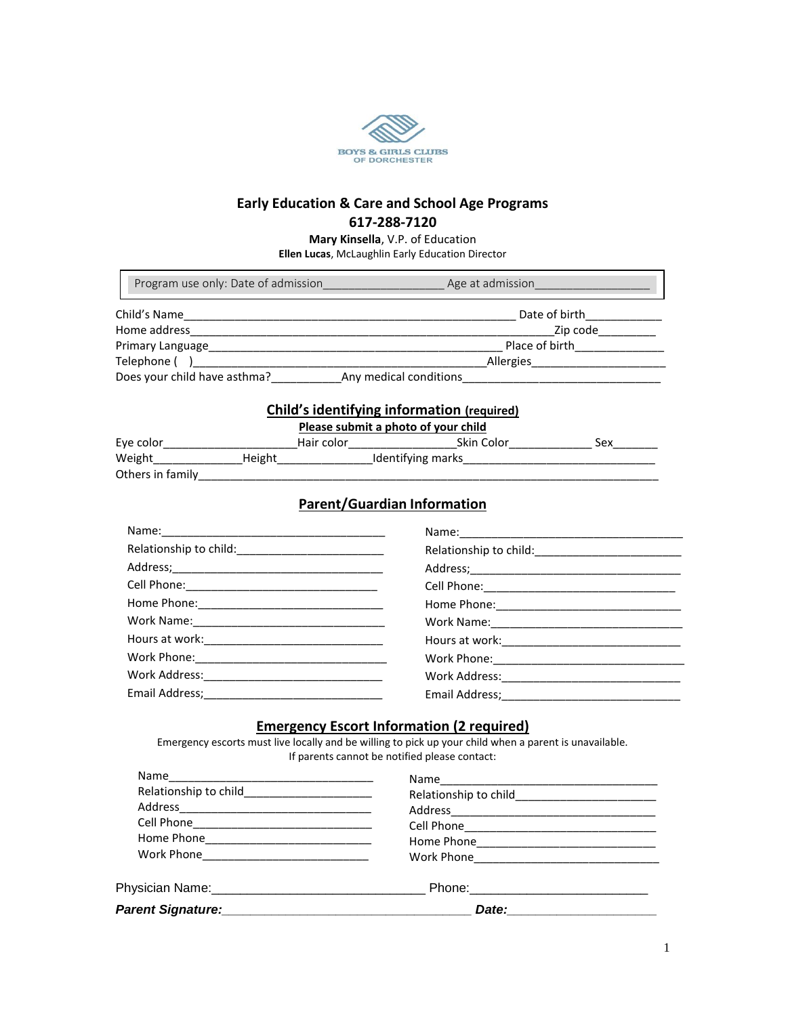

# **Early Education & Care and School Age Programs 617-288-7120**

**Mary Kinsella**, V.P. of Education

**Ellen Lucas**, McLaughlin Early Education Director

|                                                                               |                                                                          | Program use only: Date of admission and a series of a series and admission and a series of the series of the s                                                                                              |                                                     |  |  |  |  |
|-------------------------------------------------------------------------------|--------------------------------------------------------------------------|-------------------------------------------------------------------------------------------------------------------------------------------------------------------------------------------------------------|-----------------------------------------------------|--|--|--|--|
|                                                                               |                                                                          |                                                                                                                                                                                                             |                                                     |  |  |  |  |
|                                                                               |                                                                          |                                                                                                                                                                                                             |                                                     |  |  |  |  |
|                                                                               |                                                                          |                                                                                                                                                                                                             |                                                     |  |  |  |  |
|                                                                               |                                                                          |                                                                                                                                                                                                             |                                                     |  |  |  |  |
|                                                                               |                                                                          | Does your child have asthma? Any medical conditions                                                                                                                                                         |                                                     |  |  |  |  |
|                                                                               |                                                                          | <b>Child's identifying information (required)</b><br>Please submit a photo of your child                                                                                                                    |                                                     |  |  |  |  |
|                                                                               |                                                                          | Eye color___________________________Hair color________________________Skin Color___________________Sex________                                                                                              |                                                     |  |  |  |  |
|                                                                               |                                                                          |                                                                                                                                                                                                             |                                                     |  |  |  |  |
|                                                                               |                                                                          |                                                                                                                                                                                                             |                                                     |  |  |  |  |
|                                                                               |                                                                          | <b>Parent/Guardian Information</b>                                                                                                                                                                          |                                                     |  |  |  |  |
|                                                                               |                                                                          |                                                                                                                                                                                                             |                                                     |  |  |  |  |
|                                                                               |                                                                          |                                                                                                                                                                                                             |                                                     |  |  |  |  |
|                                                                               |                                                                          |                                                                                                                                                                                                             |                                                     |  |  |  |  |
|                                                                               |                                                                          |                                                                                                                                                                                                             |                                                     |  |  |  |  |
|                                                                               |                                                                          |                                                                                                                                                                                                             |                                                     |  |  |  |  |
|                                                                               |                                                                          |                                                                                                                                                                                                             |                                                     |  |  |  |  |
|                                                                               |                                                                          |                                                                                                                                                                                                             |                                                     |  |  |  |  |
|                                                                               |                                                                          |                                                                                                                                                                                                             |                                                     |  |  |  |  |
|                                                                               |                                                                          |                                                                                                                                                                                                             |                                                     |  |  |  |  |
|                                                                               |                                                                          |                                                                                                                                                                                                             |                                                     |  |  |  |  |
|                                                                               |                                                                          | <b>Emergency Escort Information (2 required)</b><br>Emergency escorts must live locally and be willing to pick up your child when a parent is unavailable.<br>If parents cannot be notified please contact: |                                                     |  |  |  |  |
| <b>Name</b>                                                                   | <u> 1989 - Johann John Stein, mars an deus Amerikaansk kommunister (</u> | Name and the set of the set of the set of the set of the set of the set of the set of the set of the set of th                                                                                              | <u> 1980 - Johann Barbara, martxa alemaniar arg</u> |  |  |  |  |
|                                                                               |                                                                          |                                                                                                                                                                                                             |                                                     |  |  |  |  |
|                                                                               |                                                                          |                                                                                                                                                                                                             |                                                     |  |  |  |  |
|                                                                               |                                                                          |                                                                                                                                                                                                             |                                                     |  |  |  |  |
|                                                                               |                                                                          |                                                                                                                                                                                                             |                                                     |  |  |  |  |
|                                                                               |                                                                          |                                                                                                                                                                                                             |                                                     |  |  |  |  |
|                                                                               |                                                                          |                                                                                                                                                                                                             |                                                     |  |  |  |  |
| Parent Signature: Manual Communication of Date: Manual Communication of Date: |                                                                          |                                                                                                                                                                                                             |                                                     |  |  |  |  |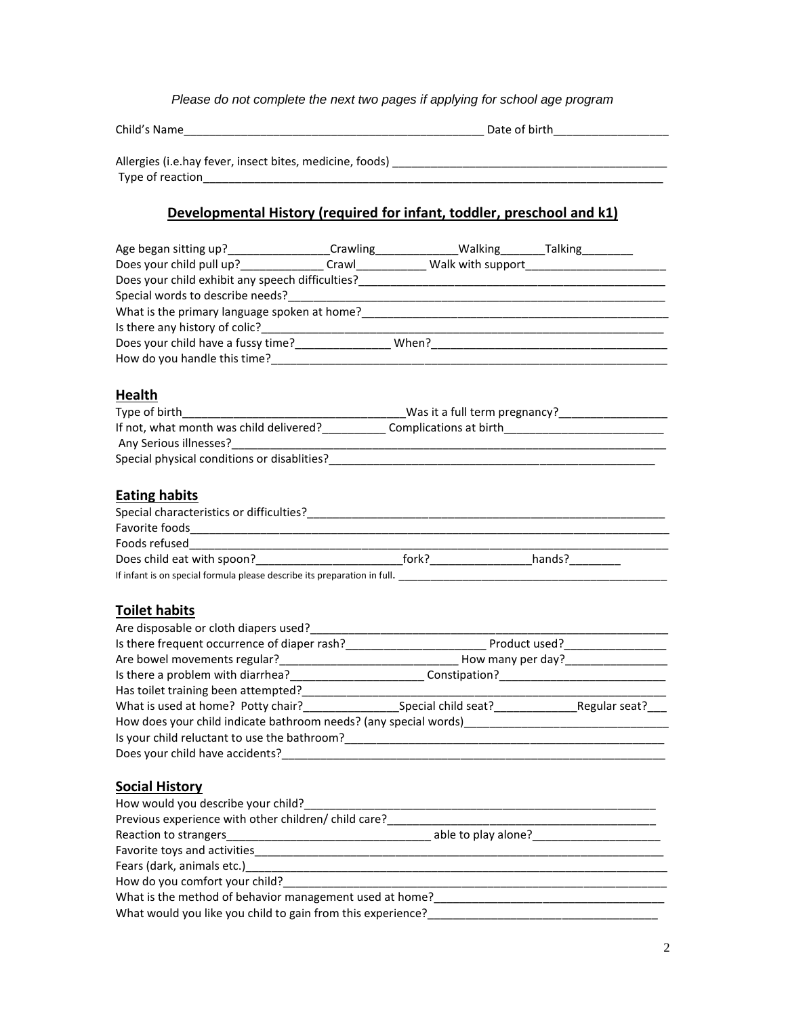### *Please do not complete the next two pages if applying for school age program*

Allergies (i.e.hay fever, insect bites, medicine, foods) \_\_\_\_\_\_\_\_\_\_\_\_\_\_\_\_\_\_\_\_\_\_\_\_\_\_\_\_\_\_\_\_\_\_\_\_\_\_\_\_\_\_\_ Type of reaction\_\_\_\_\_\_\_\_\_\_\_\_\_\_\_\_\_\_\_\_\_\_\_\_\_\_\_\_\_\_\_\_\_\_\_\_\_\_\_\_\_\_\_\_\_\_\_\_\_\_\_\_\_\_\_\_\_\_\_\_\_\_\_\_\_\_\_\_\_\_\_\_

# **Developmental History (required for infant, toddler, preschool and k1)**

| Age began sitting up?____________________Crawling________________________________Talking___________                                              |  |  |
|--------------------------------------------------------------------------------------------------------------------------------------------------|--|--|
| Does your child pull up?________________Crawl______________Walk with support________________________                                             |  |  |
|                                                                                                                                                  |  |  |
|                                                                                                                                                  |  |  |
|                                                                                                                                                  |  |  |
|                                                                                                                                                  |  |  |
|                                                                                                                                                  |  |  |
|                                                                                                                                                  |  |  |
|                                                                                                                                                  |  |  |
| Health                                                                                                                                           |  |  |
|                                                                                                                                                  |  |  |
| If not, what month was child delivered?________________Complications at birth_________________________________                                   |  |  |
|                                                                                                                                                  |  |  |
|                                                                                                                                                  |  |  |
|                                                                                                                                                  |  |  |
| <b>Eating habits</b>                                                                                                                             |  |  |
|                                                                                                                                                  |  |  |
|                                                                                                                                                  |  |  |
|                                                                                                                                                  |  |  |
| Does child eat with spoon?______________________________fork?___________________hands?_____________                                              |  |  |
|                                                                                                                                                  |  |  |
|                                                                                                                                                  |  |  |
|                                                                                                                                                  |  |  |
| <b>Toilet habits</b>                                                                                                                             |  |  |
|                                                                                                                                                  |  |  |
|                                                                                                                                                  |  |  |
|                                                                                                                                                  |  |  |
|                                                                                                                                                  |  |  |
| Has toilet training been attempted?_________________                                                                                             |  |  |
|                                                                                                                                                  |  |  |
|                                                                                                                                                  |  |  |
|                                                                                                                                                  |  |  |
|                                                                                                                                                  |  |  |
|                                                                                                                                                  |  |  |
| <b>Social History</b>                                                                                                                            |  |  |
| How would you describe your child?                                                                                                               |  |  |
| Previous experience with other children/ child care?                                                                                             |  |  |
| Reaction to strangers                                                                                                                            |  |  |
| Favorite toys and activities                                                                                                                     |  |  |
|                                                                                                                                                  |  |  |
| How do you comfort your child?<br>The contract of the contract of the contract of the contract of the contract of the contract of the contract o |  |  |
|                                                                                                                                                  |  |  |
| What would you like you child to gain from this experience?                                                                                      |  |  |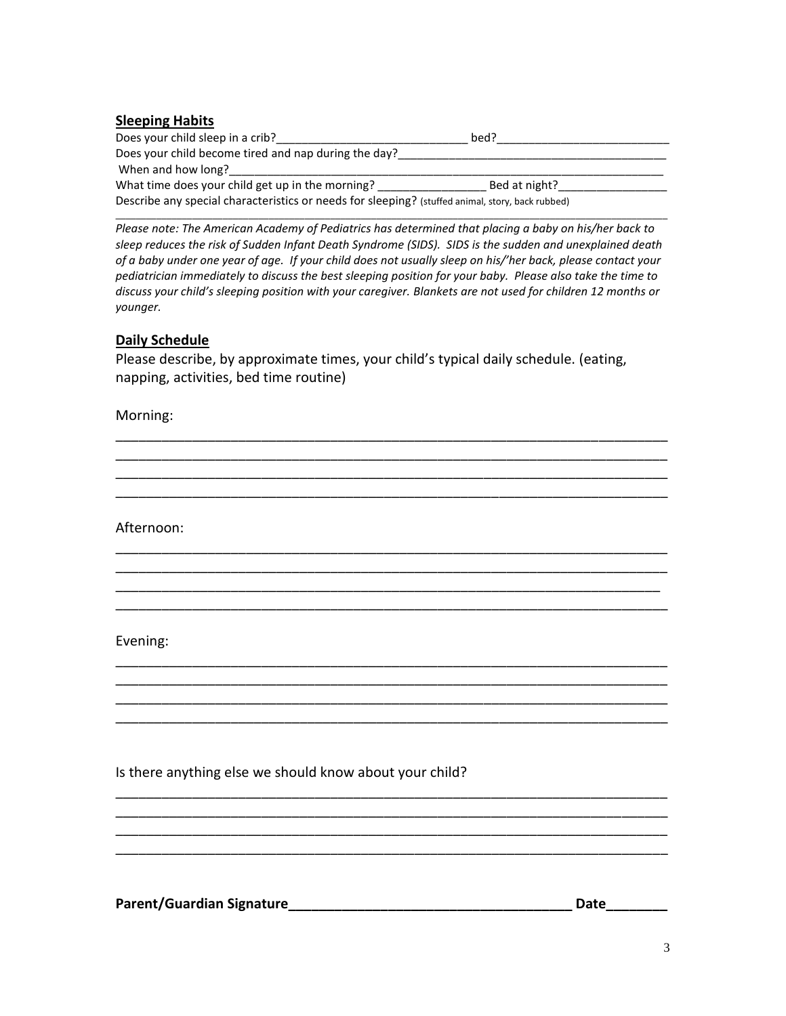## **Sleeping Habits**

| Does your child sleep in a crib?                                                                 | bed?          |  |
|--------------------------------------------------------------------------------------------------|---------------|--|
| Does your child become tired and nap during the day?                                             |               |  |
| When and how long?                                                                               |               |  |
| What time does your child get up in the morning?                                                 | Bed at night? |  |
| Describe any special characteristics or needs for sleeping? (stuffed animal, story, back rubbed) |               |  |

\_\_\_\_\_\_\_\_\_\_\_\_\_\_\_\_\_\_\_\_\_\_\_\_\_\_\_\_\_\_\_\_\_\_\_\_\_\_\_\_\_\_\_\_\_\_\_\_\_\_\_\_\_\_\_\_\_\_\_\_\_\_\_\_\_\_\_\_\_\_\_\_\_\_\_\_\_\_\_\_\_\_\_\_\_\_\_\_\_\_\_\_\_\_\_\_\_\_\_\_\_\_\_\_\_\_\_\_ *Please note: The American Academy of Pediatrics has determined that placing a baby on his/her back to sleep reduces the risk of Sudden Infant Death Syndrome (SIDS). SIDS is the sudden and unexplained death of a baby under one year of age. If your child does not usually sleep on his/'her back, please contact your pediatrician immediately to discuss the best sleeping position for your baby. Please also take the time to discuss your child's sleeping position with your caregiver. Blankets are not used for children 12 months or younger.*

### **Daily Schedule**

Please describe, by approximate times, your child's typical daily schedule. (eating, napping, activities, bed time routine)

\_\_\_\_\_\_\_\_\_\_\_\_\_\_\_\_\_\_\_\_\_\_\_\_\_\_\_\_\_\_\_\_\_\_\_\_\_\_\_\_\_\_\_\_\_\_\_\_\_\_\_\_\_\_\_\_\_\_\_\_\_\_\_\_\_\_\_\_\_\_\_\_ \_\_\_\_\_\_\_\_\_\_\_\_\_\_\_\_\_\_\_\_\_\_\_\_\_\_\_\_\_\_\_\_\_\_\_\_\_\_\_\_\_\_\_\_\_\_\_\_\_\_\_\_\_\_\_\_\_\_\_\_\_\_\_\_\_\_\_\_\_\_\_\_ \_\_\_\_\_\_\_\_\_\_\_\_\_\_\_\_\_\_\_\_\_\_\_\_\_\_\_\_\_\_\_\_\_\_\_\_\_\_\_\_\_\_\_\_\_\_\_\_\_\_\_\_\_\_\_\_\_\_\_\_\_\_\_\_\_\_\_\_\_\_\_\_ \_\_\_\_\_\_\_\_\_\_\_\_\_\_\_\_\_\_\_\_\_\_\_\_\_\_\_\_\_\_\_\_\_\_\_\_\_\_\_\_\_\_\_\_\_\_\_\_\_\_\_\_\_\_\_\_\_\_\_\_\_\_\_\_\_\_\_\_\_\_\_\_

\_\_\_\_\_\_\_\_\_\_\_\_\_\_\_\_\_\_\_\_\_\_\_\_\_\_\_\_\_\_\_\_\_\_\_\_\_\_\_\_\_\_\_\_\_\_\_\_\_\_\_\_\_\_\_\_\_\_\_\_\_\_\_\_\_\_\_\_\_\_\_\_ \_\_\_\_\_\_\_\_\_\_\_\_\_\_\_\_\_\_\_\_\_\_\_\_\_\_\_\_\_\_\_\_\_\_\_\_\_\_\_\_\_\_\_\_\_\_\_\_\_\_\_\_\_\_\_\_\_\_\_\_\_\_\_\_\_\_\_\_\_\_\_\_ \_\_\_\_\_\_\_\_\_\_\_\_\_\_\_\_\_\_\_\_\_\_\_\_\_\_\_\_\_\_\_\_\_\_\_\_\_\_\_\_\_\_\_\_\_\_\_\_\_\_\_\_\_\_\_\_\_\_\_\_\_\_\_\_\_\_\_\_\_\_\_ \_\_\_\_\_\_\_\_\_\_\_\_\_\_\_\_\_\_\_\_\_\_\_\_\_\_\_\_\_\_\_\_\_\_\_\_\_\_\_\_\_\_\_\_\_\_\_\_\_\_\_\_\_\_\_\_\_\_\_\_\_\_\_\_\_\_\_\_\_\_\_\_

\_\_\_\_\_\_\_\_\_\_\_\_\_\_\_\_\_\_\_\_\_\_\_\_\_\_\_\_\_\_\_\_\_\_\_\_\_\_\_\_\_\_\_\_\_\_\_\_\_\_\_\_\_\_\_\_\_\_\_\_\_\_\_\_\_\_\_\_\_\_\_\_ \_\_\_\_\_\_\_\_\_\_\_\_\_\_\_\_\_\_\_\_\_\_\_\_\_\_\_\_\_\_\_\_\_\_\_\_\_\_\_\_\_\_\_\_\_\_\_\_\_\_\_\_\_\_\_\_\_\_\_\_\_\_\_\_\_\_\_\_\_\_\_\_

\_\_\_\_\_\_\_\_\_\_\_\_\_\_\_\_\_\_\_\_\_\_\_\_\_\_\_\_\_\_\_\_\_\_\_\_\_\_\_\_\_\_\_\_\_\_\_\_\_\_\_\_\_\_\_\_\_\_\_\_\_\_\_\_\_\_\_\_\_\_\_\_

\_\_\_\_\_\_\_\_\_\_\_\_\_\_\_\_\_\_\_\_\_\_\_\_\_\_\_\_\_\_\_\_\_\_\_\_\_\_\_\_\_\_\_\_\_\_\_\_\_\_\_\_\_\_\_\_\_\_\_\_\_\_\_\_\_\_\_\_\_\_\_\_ \_\_\_\_\_\_\_\_\_\_\_\_\_\_\_\_\_\_\_\_\_\_\_\_\_\_\_\_\_\_\_\_\_\_\_\_\_\_\_\_\_\_\_\_\_\_\_\_\_\_\_\_\_\_\_\_\_\_\_\_\_\_\_\_\_\_\_\_\_\_\_\_ \_\_\_\_\_\_\_\_\_\_\_\_\_\_\_\_\_\_\_\_\_\_\_\_\_\_\_\_\_\_\_\_\_\_\_\_\_\_\_\_\_\_\_\_\_\_\_\_\_\_\_\_\_\_\_\_\_\_\_\_\_\_\_\_\_\_\_\_\_\_\_\_ \_\_\_\_\_\_\_\_\_\_\_\_\_\_\_\_\_\_\_\_\_\_\_\_\_\_\_\_\_\_\_\_\_\_\_\_\_\_\_\_\_\_\_\_\_\_\_\_\_\_\_\_\_\_\_\_\_\_\_\_\_\_\_\_\_\_\_\_\_\_\_\_

Morning:

Afternoon:

#### Evening:

Is there anything else we should know about your child?

**Parent/Guardian Signature\_\_\_\_\_\_\_\_\_\_\_\_\_\_\_\_\_\_\_\_\_\_\_\_\_\_\_\_\_\_\_\_\_\_\_\_\_ Date\_\_\_\_\_\_\_\_**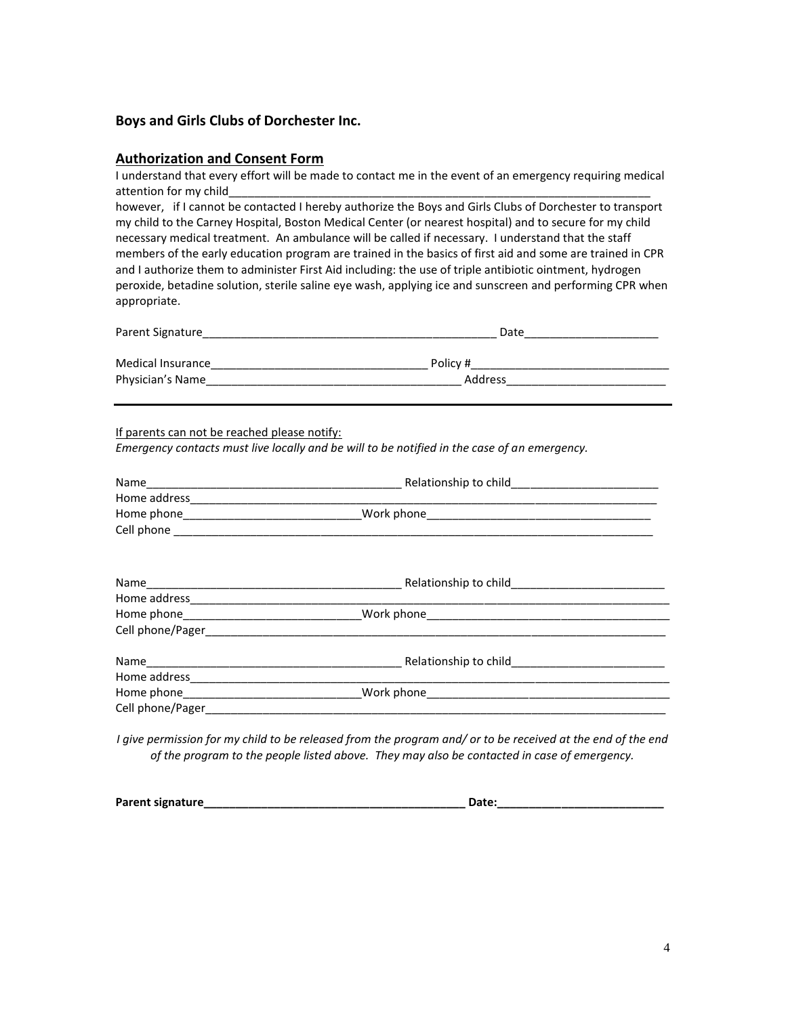#### **Boys and Girls Clubs of Dorchester Inc.**

#### **Authorization and Consent Form**

I understand that every effort will be made to contact me in the event of an emergency requiring medical attention for my child

however, if I cannot be contacted I hereby authorize the Boys and Girls Clubs of Dorchester to transport my child to the Carney Hospital, Boston Medical Center (or nearest hospital) and to secure for my child necessary medical treatment. An ambulance will be called if necessary. I understand that the staff members of the early education program are trained in the basics of first aid and some are trained in CPR and I authorize them to administer First Aid including: the use of triple antibiotic ointment, hydrogen peroxide, betadine solution, sterile saline eye wash, applying ice and sunscreen and performing CPR when appropriate.

| Parent Signature  | Date     |  |  |  |
|-------------------|----------|--|--|--|
| Medical Insurance | Policy # |  |  |  |
| Physician's Name  | Address  |  |  |  |

If parents can not be reached please notify:

*Emergency contacts must live locally and be will to be notified in the case of an emergency.*

| Home phone__________________________________Work phone___________________________ |  |
|-----------------------------------------------------------------------------------|--|
|                                                                                   |  |
|                                                                                   |  |
|                                                                                   |  |
|                                                                                   |  |
|                                                                                   |  |
|                                                                                   |  |

*I give permission for my child to be released from the program and/ or to be received at the end of the end of the program to the people listed above. They may also be contacted in case of emergency.*

| Parent signature<br>Date |  |
|--------------------------|--|
|--------------------------|--|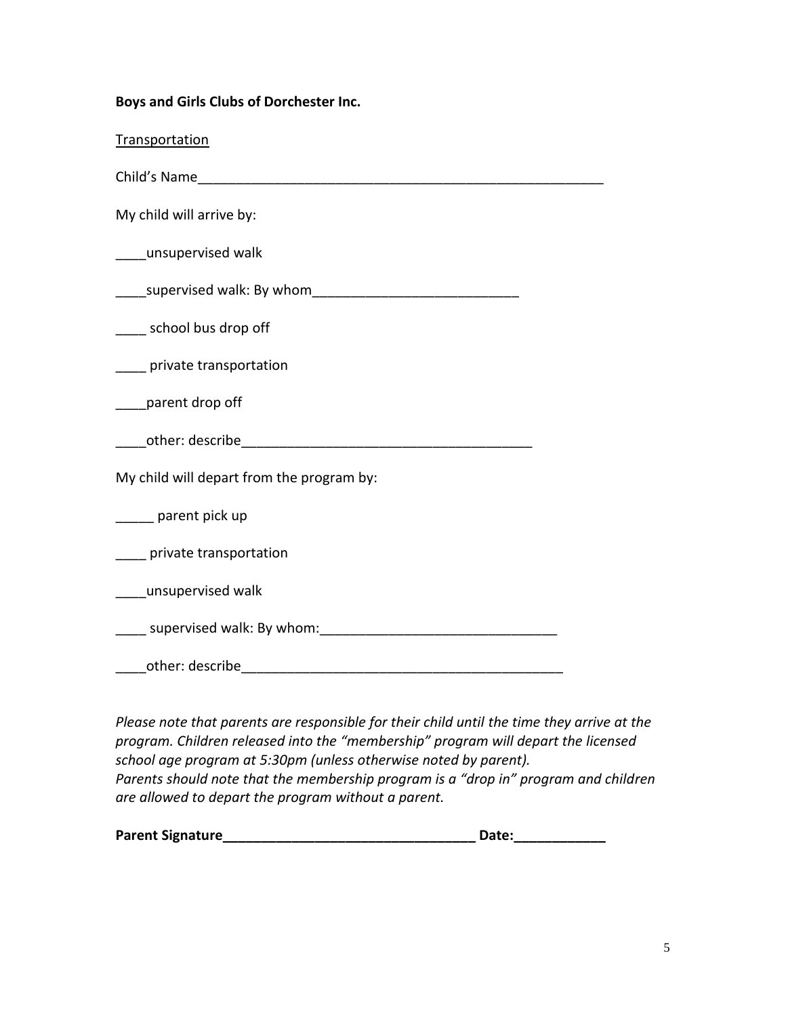|  |  |  |  | Boys and Girls Clubs of Dorchester Inc. |  |
|--|--|--|--|-----------------------------------------|--|
|--|--|--|--|-----------------------------------------|--|

Transportation

Child's Name

My child will arrive by:

\_\_\_\_unsupervised walk

\_\_\_\_supervised walk: By whom\_\_\_\_\_\_\_\_\_\_\_\_\_\_\_\_\_\_\_\_\_\_\_\_\_\_\_

\_\_\_\_ school bus drop off

\_\_\_\_ private transportation

\_\_\_\_parent drop off

\_\_\_\_other: describe\_\_\_\_\_\_\_\_\_\_\_\_\_\_\_\_\_\_\_\_\_\_\_\_\_\_\_\_\_\_\_\_\_\_\_\_\_\_

My child will depart from the program by:

\_\_\_\_\_ parent pick up

\_\_\_\_ private transportation

\_\_\_\_unsupervised walk

supervised walk: By whom:

\_\_\_\_other: describe\_\_\_\_\_\_\_\_\_\_\_\_\_\_\_\_\_\_\_\_\_\_\_\_\_\_\_\_\_\_\_\_\_\_\_\_\_\_\_\_\_\_

*Please note that parents are responsible for their child until the time they arrive at the program. Children released into the "membership" program will depart the licensed school age program at 5:30pm (unless otherwise noted by parent). Parents should note that the membership program is a "drop in" program and children are allowed to depart the program without a parent.*

| <b>Parent Signature</b> |  | <b>Date:</b> |
|-------------------------|--|--------------|
|-------------------------|--|--------------|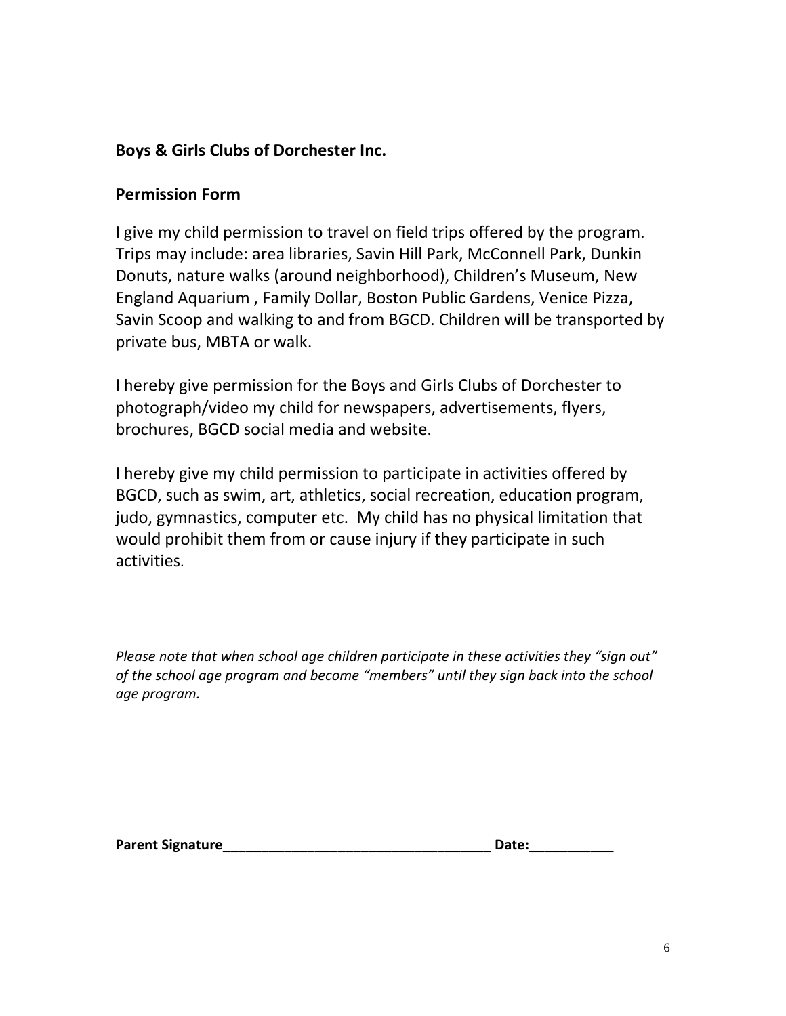# **Boys & Girls Clubs of Dorchester Inc.**

# **Permission Form**

I give my child permission to travel on field trips offered by the program. Trips may include: area libraries, Savin Hill Park, McConnell Park, Dunkin Donuts, nature walks (around neighborhood), Children's Museum, New England Aquarium , Family Dollar, Boston Public Gardens, Venice Pizza, Savin Scoop and walking to and from BGCD. Children will be transported by private bus, MBTA or walk.

I hereby give permission for the Boys and Girls Clubs of Dorchester to photograph/video my child for newspapers, advertisements, flyers, brochures, BGCD social media and website.

I hereby give my child permission to participate in activities offered by BGCD, such as swim, art, athletics, social recreation, education program, judo, gymnastics, computer etc. My child has no physical limitation that would prohibit them from or cause injury if they participate in such activities.

*Please note that when school age children participate in these activities they "sign out" of the school age program and become "members" until they sign back into the school age program.* 

**Parent Signature** 

| Date: |  |  |  |  |  |  |
|-------|--|--|--|--|--|--|
|       |  |  |  |  |  |  |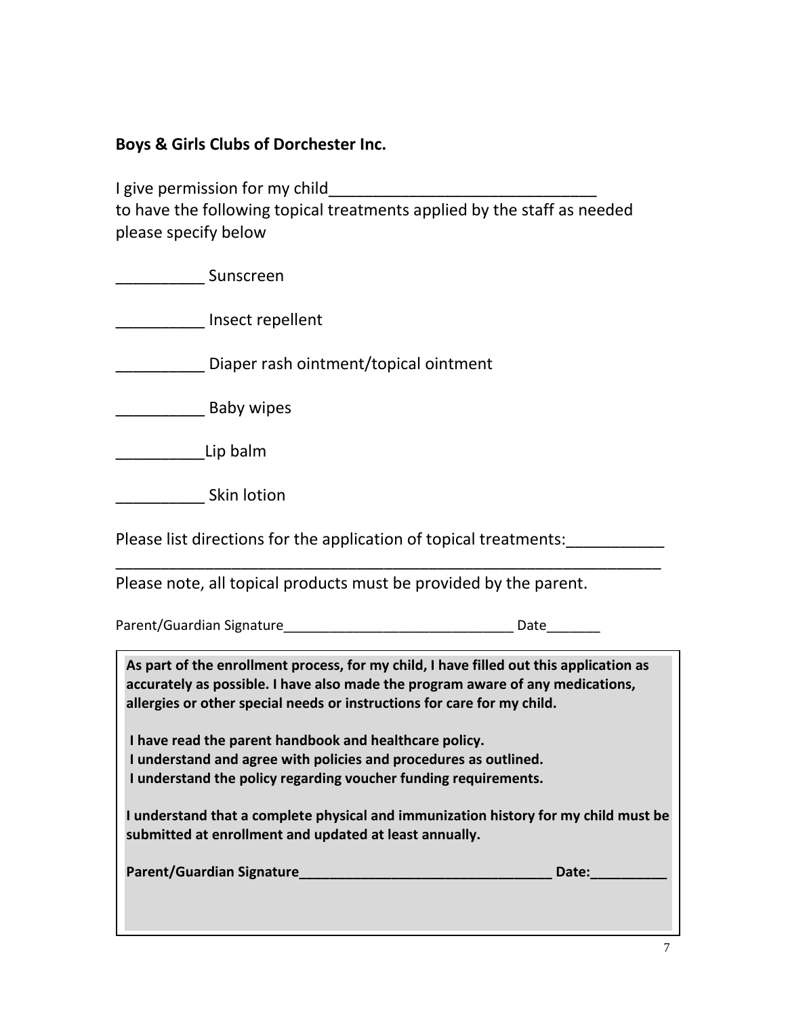**Boys & Girls Clubs of Dorchester Inc.**

I give permission for my child\_\_\_\_\_\_\_\_\_\_\_ to have the following topical treatments applied by the staff as needed please specify below

| Sunscreen                                                                                                                                                                                                                                                                                                                                                                                                                                                                                                                                                                                             |             |
|-------------------------------------------------------------------------------------------------------------------------------------------------------------------------------------------------------------------------------------------------------------------------------------------------------------------------------------------------------------------------------------------------------------------------------------------------------------------------------------------------------------------------------------------------------------------------------------------------------|-------------|
| Insect repellent                                                                                                                                                                                                                                                                                                                                                                                                                                                                                                                                                                                      |             |
| Diaper rash ointment/topical ointment                                                                                                                                                                                                                                                                                                                                                                                                                                                                                                                                                                 |             |
| Baby wipes                                                                                                                                                                                                                                                                                                                                                                                                                                                                                                                                                                                            |             |
| Lip balm                                                                                                                                                                                                                                                                                                                                                                                                                                                                                                                                                                                              |             |
| Skin lotion                                                                                                                                                                                                                                                                                                                                                                                                                                                                                                                                                                                           |             |
| Please list directions for the application of topical treatments:                                                                                                                                                                                                                                                                                                                                                                                                                                                                                                                                     |             |
| Please note, all topical products must be provided by the parent.                                                                                                                                                                                                                                                                                                                                                                                                                                                                                                                                     |             |
|                                                                                                                                                                                                                                                                                                                                                                                                                                                                                                                                                                                                       |             |
| As part of the enrollment process, for my child, I have filled out this application as<br>accurately as possible. I have also made the program aware of any medications,<br>allergies or other special needs or instructions for care for my child.<br>I have read the parent handbook and healthcare policy.<br>I understand and agree with policies and procedures as outlined.<br>I understand the policy regarding voucher funding requirements.<br>I understand that a complete physical and immunization history for my child must be<br>submitted at enrollment and updated at least annually. | Date: Date: |